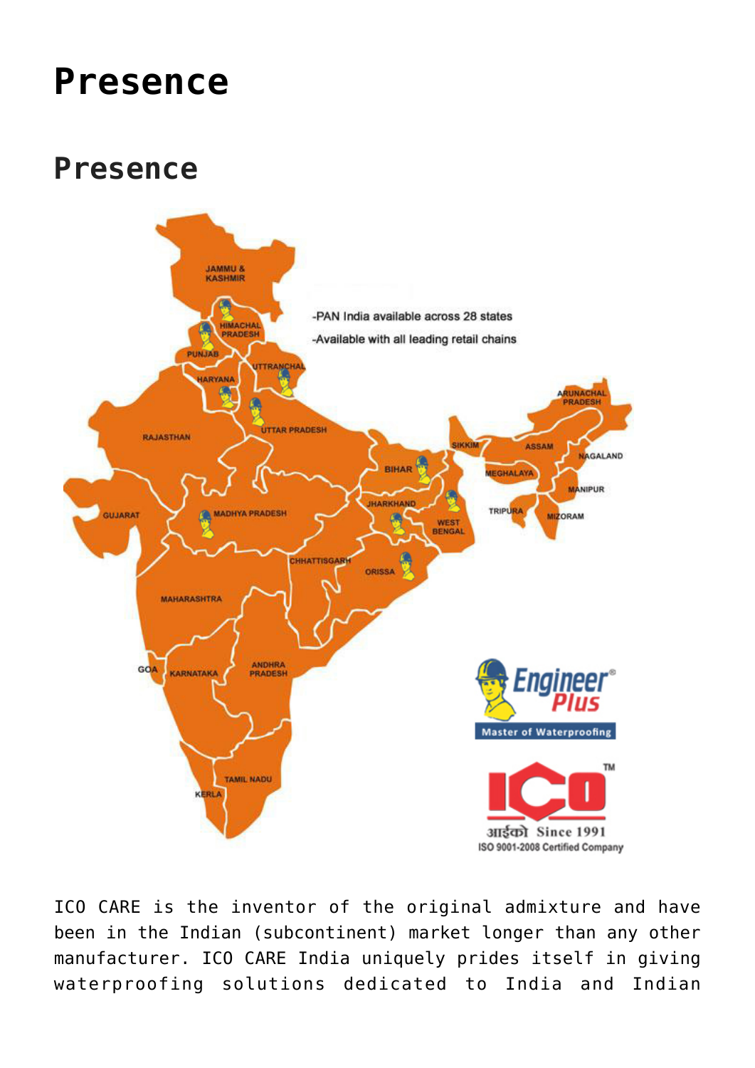# **[Presence](https://www.icoindia.com/presence/)**

### **Presence**



ICO CARE is the inventor of the original admixture and have been in the Indian (subcontinent) market longer than any other manufacturer. ICO CARE India uniquely prides itself in giving waterproofing solutions dedicated to India and Indian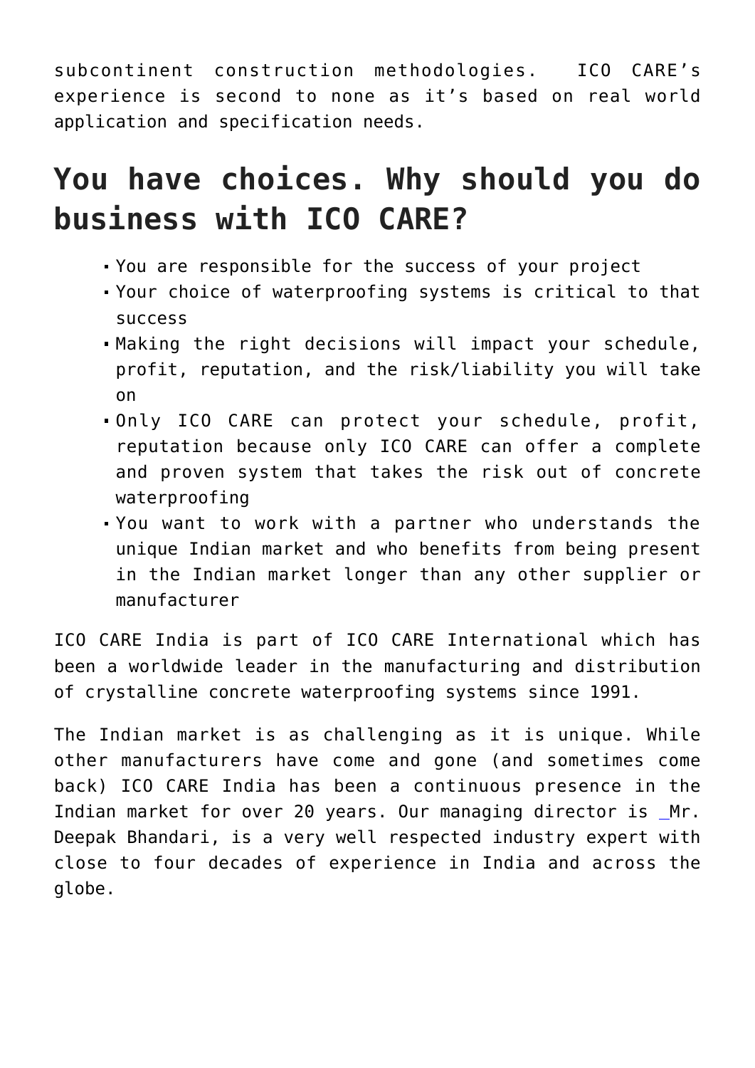subcontinent construction methodologies. ICO CARE's experience is second to none as it's based on real world application and specification needs.

### **You have choices. Why should you do business with ICO CARE?**

- You are responsible for the success of your project
- Your choice of waterproofing systems is critical to that success
- Making the right decisions will impact your schedule, profit, reputation, and the risk/liability you will take on
- Only ICO CARE can protect your schedule, profit, reputation because only ICO CARE can offer a complete and proven system that takes the risk out of concrete waterproofing
- You want to work with a partner who understands the unique Indian market and who benefits from being present in the Indian market longer than any other supplier or manufacturer

ICO CARE India is part of ICO CARE International which has been a worldwide leader in the manufacturing and distribution of crystalline concrete waterproofing systems since 1991.

The Indian market is as challenging as it is unique. While other manufacturers have come and gone (and sometimes come back) ICO CARE India has been a continuous presence in the Indian market for over 20 years. Our managing director is Mr. Deepak Bhandari, is a very well respected industry expert with close to four decades of experience in India and across the globe.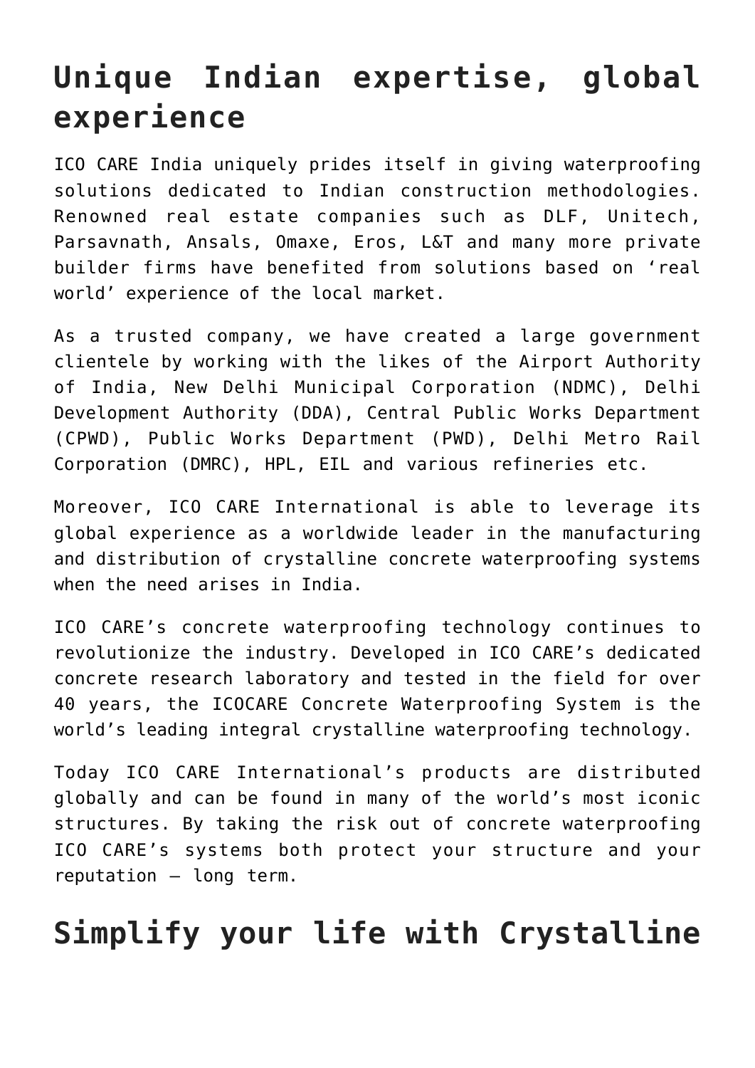## **Unique Indian expertise, global experience**

ICO CARE India uniquely prides itself in giving waterproofing solutions dedicated to Indian construction methodologies. Renowned real estate companies such as DLF, Unitech, Parsavnath, Ansals, Omaxe, Eros, L&T and many more private builder firms have benefited from solutions based on 'real world' experience of the local market.

As a trusted company, we have created a large government clientele by working with the likes of the Airport Authority of India, New Delhi Municipal Corporation (NDMC), Delhi Development Authority (DDA), Central Public Works Department (CPWD), Public Works Department (PWD), Delhi Metro Rail Corporation (DMRC), HPL, EIL and various refineries etc.

Moreover, ICO CARE International is able to leverage its global experience as a worldwide leader in the manufacturing and distribution of crystalline concrete waterproofing systems when the need arises in India.

ICO CARE's concrete waterproofing technology continues to revolutionize the industry. Developed in ICO CARE's dedicated concrete research laboratory and tested in the field for over 40 years, the ICOCARE Concrete Waterproofing System is the world's leading integral crystalline waterproofing technology.

Today ICO CARE International's products are distributed globally and can be found in many of the world's most iconic structures. By taking the risk out of concrete waterproofing ICO CARE's systems both protect your structure and your reputation – long term.

### **Simplify your life with Crystalline**